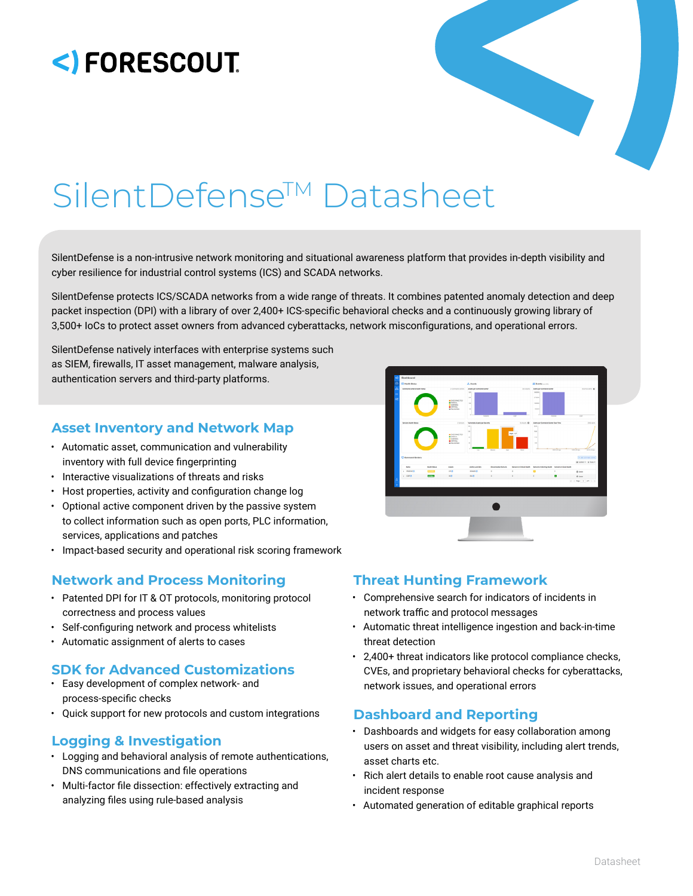# <) FORESCOUT.



# SilentDefense™ Datasheet

SilentDefense is a non-intrusive network monitoring and situational awareness platform that provides in-depth visibility and cyber resilience for industrial control systems (ICS) and SCADA networks.

SilentDefense protects ICS/SCADA networks from a wide range of threats. It combines patented anomaly detection and deep packet inspection (DPI) with a library of over 2,400+ ICS-specific behavioral checks and a continuously growing library of 3,500+ IoCs to protect asset owners from advanced cyberattacks, network misconfigurations, and operational errors.

SilentDefense natively interfaces with enterprise systems such as SIEM, firewalls, IT asset management, malware analysis, authentication servers and third-party platforms.

# **Asset Inventory and Network Map**

- Automatic asset, communication and vulnerability inventory with full device fingerprinting
- Interactive visualizations of threats and risks
- Host properties, activity and configuration change log
- Optional active component driven by the passive system to collect information such as open ports, PLC information, services, applications and patches
- Impact-based security and operational risk scoring framework

# **Network and Process Monitoring Threat Hunting Framework**

- Patented DPI for IT & OT protocols, monitoring protocol correctness and process values
- Self-configuring network and process whitelists
- Automatic assignment of alerts to cases

# **SDK for Advanced Customizations**

- Easy development of complex network- and process-specific checks
- Quick support for new protocols and custom integrations

# **Logging & Investigation**

- Logging and behavioral analysis of remote authentications, DNS communications and file operations
- Multi-factor file dissection: effectively extracting and analyzing files using rule-based analysis



- Comprehensive search for indicators of incidents in network traffic and protocol messages
- Automatic threat intelligence ingestion and back-in-time threat detection
- 2,400+ threat indicators like protocol compliance checks, CVEs, and proprietary behavioral checks for cyberattacks, network issues, and operational errors

# **Dashboard and Reporting**

- Dashboards and widgets for easy collaboration among users on asset and threat visibility, including alert trends, asset charts etc.
- Rich alert details to enable root cause analysis and incident response
- Automated generation of editable graphical reports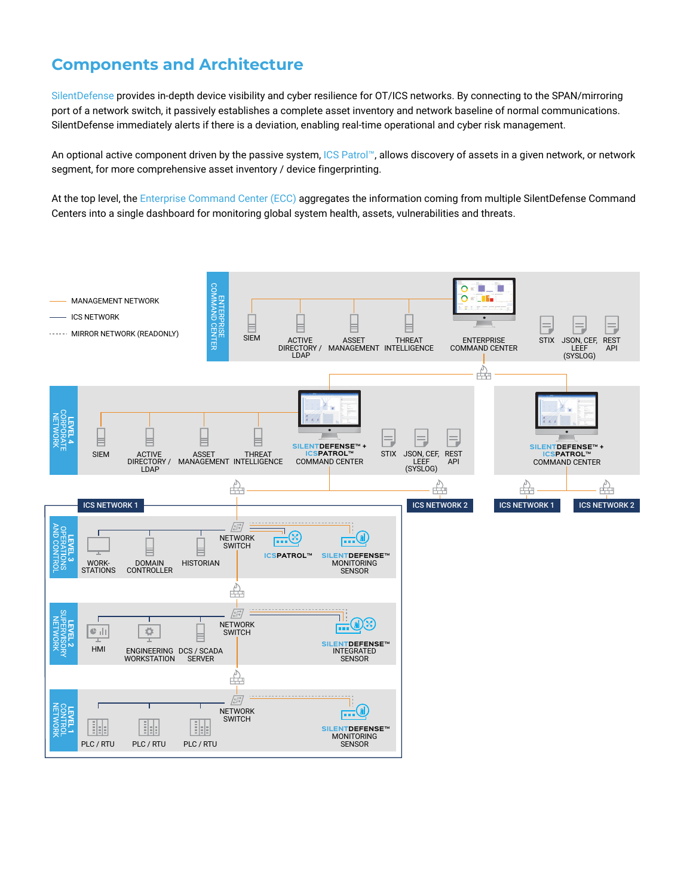# **Components and Architecture**

SilentDefense provides in-depth device visibility and cyber resilience for OT/ICS networks. By connecting to the SPAN/mirroring port of a network switch, it passively establishes a complete asset inventory and network baseline of normal communications. SilentDefense immediately alerts if there is a deviation, enabling real-time operational and cyber risk management.

An optional active component driven by the passive system, ICS Patrol™, allows discovery of assets in a given network, or network segment, for more comprehensive asset inventory / device fingerprinting.

At the top level, the Enterprise Command Center (ECC) aggregates the information coming from multiple SilentDefense Command Centers into a single dashboard for monitoring global system health, assets, vulnerabilities and threats.

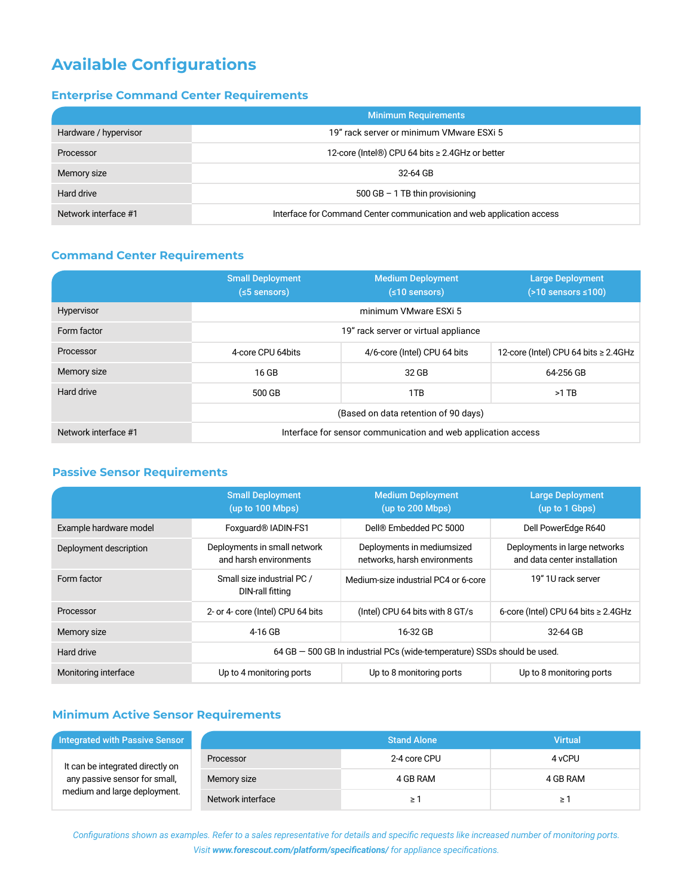# **Available Configurations**

# **Enterprise Command Center Requirements**

|                       | <b>Minimum Requirements</b>                                           |
|-----------------------|-----------------------------------------------------------------------|
| Hardware / hypervisor | 19" rack server or minimum VMware ESXi 5                              |
| Processor             | 12-core (Intel®) CPU 64 bits ≥ 2.4GHz or better                       |
| Memory size           | 32-64 GB                                                              |
| Hard drive            | 500 GB $-$ 1 TB thin provisioning                                     |
| Network interface #1  | Interface for Command Center communication and web application access |

## **Command Center Requirements**

|                      | <b>Small Deployment</b><br>$(s5$ sensors) | <b>Medium Deployment</b><br>$(≤10$ sensors)                   | <b>Large Deployment</b><br>$($ >10 sensors ≤100) |  |
|----------------------|-------------------------------------------|---------------------------------------------------------------|--------------------------------------------------|--|
| Hypervisor           |                                           | minimum VMware ESXi 5                                         |                                                  |  |
| Form factor          |                                           | 19" rack server or virtual appliance                          |                                                  |  |
| Processor            | 4-core CPU 64bits                         | 4/6-core (Intel) CPU 64 bits                                  | 12-core (Intel) CPU 64 bits $\geq$ 2.4GHz        |  |
| Memory size          | 16 GB                                     | 32 GB                                                         | 64-256 GB                                        |  |
| Hard drive           | 500 GB                                    | 1TB                                                           | $>1$ TB                                          |  |
|                      | (Based on data retention of 90 days)      |                                                               |                                                  |  |
| Network interface #1 |                                           | Interface for sensor communication and web application access |                                                  |  |

### **Passive Sensor Requirements**

|                        | <b>Small Deployment</b><br>(up to 100 Mbps)            | <b>Medium Deployment</b><br>(up to 200 Mbps)                             | <b>Large Deployment</b><br>(up to 1 Gbps)                     |
|------------------------|--------------------------------------------------------|--------------------------------------------------------------------------|---------------------------------------------------------------|
| Example hardware model | Foxquard <sup>®</sup> IADIN-FS1                        | Dell® Embedded PC 5000                                                   | Dell PowerEdge R640                                           |
| Deployment description | Deployments in small network<br>and harsh environments | Deployments in mediumsized<br>networks, harsh environments               | Deployments in large networks<br>and data center installation |
| Form factor            | Small size industrial PC /<br>DIN-rall fitting         | Medium-size industrial PC4 or 6-core                                     | 19" 1U rack server                                            |
| Processor              | 2- or 4- core (Intel) CPU 64 bits                      | (Intel) CPU 64 bits with 8 GT/s                                          | 6-core (Intel) CPU 64 bits $\geq$ 2.4GHz                      |
| Memory size            | 4-16 GB                                                | 16-32 GB                                                                 | 32-64 GB                                                      |
| Hard drive             |                                                        | 64 GB - 500 GB In industrial PCs (wide-temperature) SSDs should be used. |                                                               |
| Monitoring interface   | Up to 4 monitoring ports                               | Up to 8 monitoring ports                                                 | Up to 8 monitoring ports                                      |

# **Minimum Active Sensor Requirements**

| <b>Integrated with Passive Sensor</b>                             |                   | <b>Stand Alone</b> | <b>Virtual</b> |
|-------------------------------------------------------------------|-------------------|--------------------|----------------|
| It can be integrated directly on<br>any passive sensor for small, | Processor         | 2-4 core CPU       | 4 vCPU         |
|                                                                   | Memory size       | 4 GB RAM           | 4 GB RAM       |
| medium and large deployment.                                      | Network interface | ≥ 1                | ≥              |

*Configurations shown as examples. Refer to a sales representative for details and specific requests like increased number of monitoring ports. Visit www.forescout.com/platform/specifications/ for appliance specifications.*